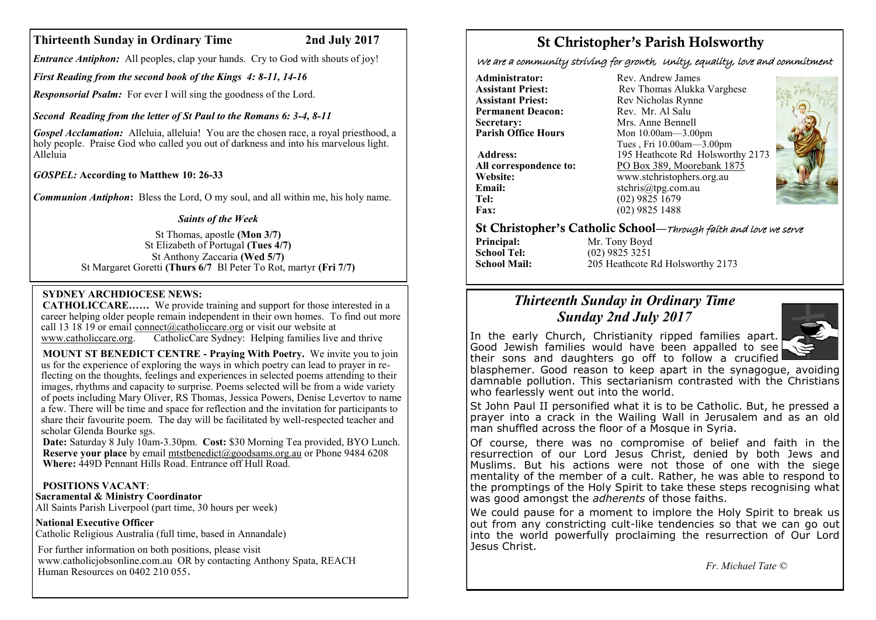# **Thirteenth Sunday in Ordinary Time 2nd July 2017**

*Entrance Antiphon:* All peoples, clap your hands. Cry to God with shouts of joy!

*First Reading from the second book of the Kings 4: 8-11, 14-16*

*Responsorial Psalm:* For ever I will sing the goodness of the Lord.

*Second Reading from the letter of St Paul to the Romans 6: 3-4, 8-11*

*Gospel Acclamation:* Alleluia, alleluia! You are the chosen race, a royal priesthood, a holy people. Praise God who called you out of darkness and into his marvelous light. Alleluia

*GOSPEL:* **According to Matthew 10: 26-33**

*Communion Antiphon***:** Bless the Lord, O my soul, and all within me, his holy name.

## *Saints of the Week*

St Thomas, apostle **(Mon 3/7)**  St Elizabeth of Portugal **(Tues 4/7)**  St Anthony Zaccaria **(Wed 5/7)** St Margaret Goretti **(Thurs 6/7** Bl Peter To Rot, martyr **(Fri 7/7)**

## **SYDNEY ARCHDIOCESE NEWS:**

**CATHOLICCARE……** We provide training and support for those interested in a career helping older people remain independent in their own homes. To find out more call 13 18 19 or email [connect@catholiccare.org](mailto:connect@catholiccare.org) or visit our website at [www.catholiccare.org.](http://www.catholiccare.org) CatholicCare Sydney: Helping families live and thrive

**MOUNT ST BENEDICT CENTRE - Praying With Poetry.** We invite you to join us for the experience of exploring the ways in which poetry can lead to prayer in reflecting on the thoughts, feelings and experiences in selected poems attending to their images, rhythms and capacity to surprise. Poems selected will be from a wide variety of poets including Mary Oliver, RS Thomas, Jessica Powers, Denise Levertov to name a few. There will be time and space for reflection and the invitation for participants to share their favourite poem. The day will be facilitated by well-respected teacher and scholar Glenda Bourke sgs.

**Date:** Saturday 8 July 10am-3.30pm. **Cost:** \$30 Morning Tea provided, BYO Lunch. **Reserve your place** by email [mtstbenedict@goodsams.org.au](mailto:mtstbenedict@goodsams.org.au) or Phone 9484 6208 **Where:** 449D Pennant Hills Road. Entrance off Hull Road.

## **POSITIONS VACANT**:

**Sacramental & Ministry Coordinator**

All Saints Parish Liverpool (part time, 30 hours per week)

**National Executive Officer**

Catholic Religious Australia (full time, based in Annandale)

For further information on both positions, please visit [www.catholicjobsonline.com.au](http://www.catholicjobsonline.com.au/) OR by contacting Anthony Spata, REACH Human Resources on [0402 210 055](tel:0402%20210%20055).

# St Christopher's Parish Holsworthy

We are a community striving for growth, Unity, equality, love and commitment

**Permanent Deacon:**<br>Secretary: **Secretary:** Mrs. Anne Bennell<br> **Parish Office Hours** Mon 10.00am - 3.00

**Email:** stchris@tpg.com.au<br> **Tel:** (02) 9825 1679 Tel: (02) 9825 1679<br> **Fax:** (02) 9825 1488

**Administrator:** Rev. Andrew James<br> **Assistant Priest:** Rev Thomas Alukka **Assistant Priest: Rev Thomas Alukka Varghese**<br>**Assistant Priest: Rev Nicholas Rynne** Rev Nicholas Rynne<br>Rev Mr Al Salu **Parish Office Hours** Mon 10.00am—3.00pm Tues , Fri 10.00am—3.00pm **Address:** 195 Heathcote Rd Holsworthy 2173 All correspondence to:  $\frac{PO \,Box \, 389, \,Moorebank \, 1875}{www.stchristophers. org. au}$ **Website:** www.stchristophers.org.au<br> **Email:** stchris@tng.com au **Fax:** (02) 9825 1488



St Christopher's Catholic School—Through faith and love we serve

**School Tel:** (02) 9825 3251<br>**School Mail:** 205 Heathcote F

**Principal:** Mr. Tony Boyd<br> **School Tel:** (02) 9825 3251 **School Mail:** 205 Heathcote Rd Holsworthy 2173

# *Thirteenth Sunday in Ordinary Time Sunday 2nd July 2017*



In the early Church, Christianity ripped families apart. Good Jewish families would have been appalled to see their sons and daughters go off to follow a crucified

blasphemer. Good reason to keep apart in the synagogue, avoiding damnable pollution. This sectarianism contrasted with the Christians who fearlessly went out into the world.

St John Paul II personified what it is to be Catholic. But, he pressed a prayer into a crack in the Wailing Wall in Jerusalem and as an old man shuffled across the floor of a Mosque in Syria.

Of course, there was no compromise of belief and faith in the resurrection of our Lord Jesus Christ, denied by both Jews and Muslims. But his actions were not those of one with the siege mentality of the member of a cult. Rather, he was able to respond to the promptings of the Holy Spirit to take these steps recognising what was good amongst the *adherents* of those faiths.

We could pause for a moment to implore the Holy Spirit to break us out from any constricting cult-like tendencies so that we can go out into the world powerfully proclaiming the resurrection of Our Lord Jesus Christ.

*Fr. Michael Tate ©*